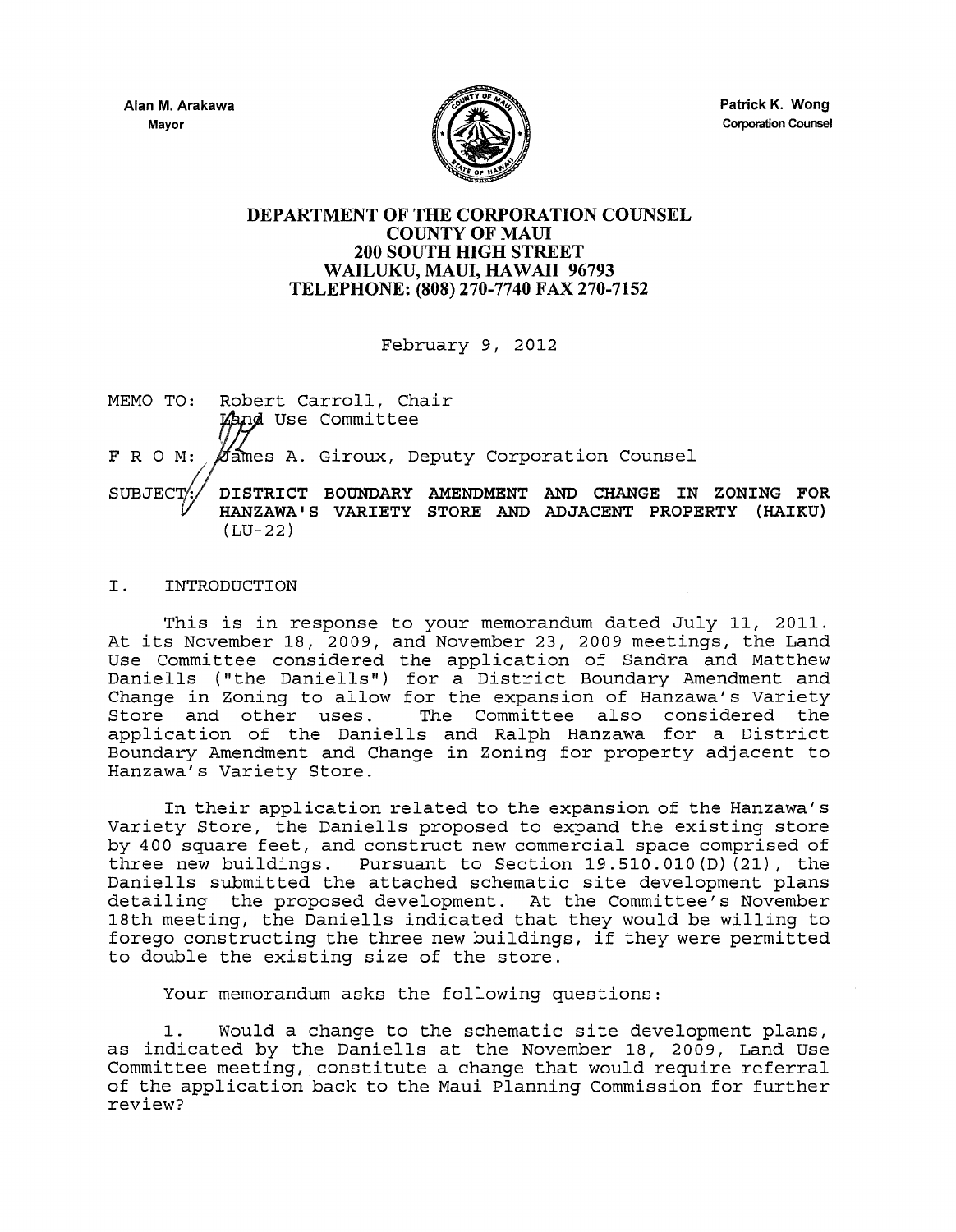

Patrick K. Wong Corporation Counsel

## DEPARTMENT OF THE CORPORATION COUNSEL COUNTY OF MAUl 200 SOUTH HIGH STREET WAILUKU, MAUl, HAWAII 96793 TELEPHONE: (808) 270-7740 FAX 270-7152

February 9, 2012

- MEMO TO: Robert Carroll, Chair Land Use Committee F R O M: *K*ames A. Giroux, Deputy Corporation Counsel
- BOUNDARY AMENDMENT AND CHANGE IN ZONING FOR SUBJECT/ HANZAWA I S VARIETY STORE AND ADJACENT PROPERTY (HAIKU) (LU-22)

## I. INTRODUCTION

This is in response to your memorandum dated July II, 2011. At its November 18, 2009, and November 23, 2009 meetings, the Land Use Committee considered the application of Sandra and Matthew Daniells (" the Daniells") for a District Boundary Amendment and Change in Zoning to allow for the expansion of Hanzawa's variety Store and other uses. The Committee also considered the application of the Daniells and Ralph Hanzawa for a District Boundary Amendment and Change in Zoning for property adjacent to Hanzawa's Variety Store.

In their application related to the expansion of the Hanzawa's Variety Store, the Daniells proposed to expand the existing store by 400 square feet, and construct new commercial space comprised of three new buildings. Pursuant to Section 19.510.010(D) (21), the Daniells submitted the attached schematic site development plans detailing the proposed development. At the Committee's November 18th meeting, the Daniells indicated that they would be willing to forego constructing the three new buildings, if they were permitted to double the existing size of the store.

Your memorandum asks the following questions:

<sup>1.</sup> Would a change to the schematic site development plans, as indicated by the Daniells at the November 18, 2009, Land Use Committee meeting, constitute a change that would require referral of the application back to the Maui Planning Commission for further review?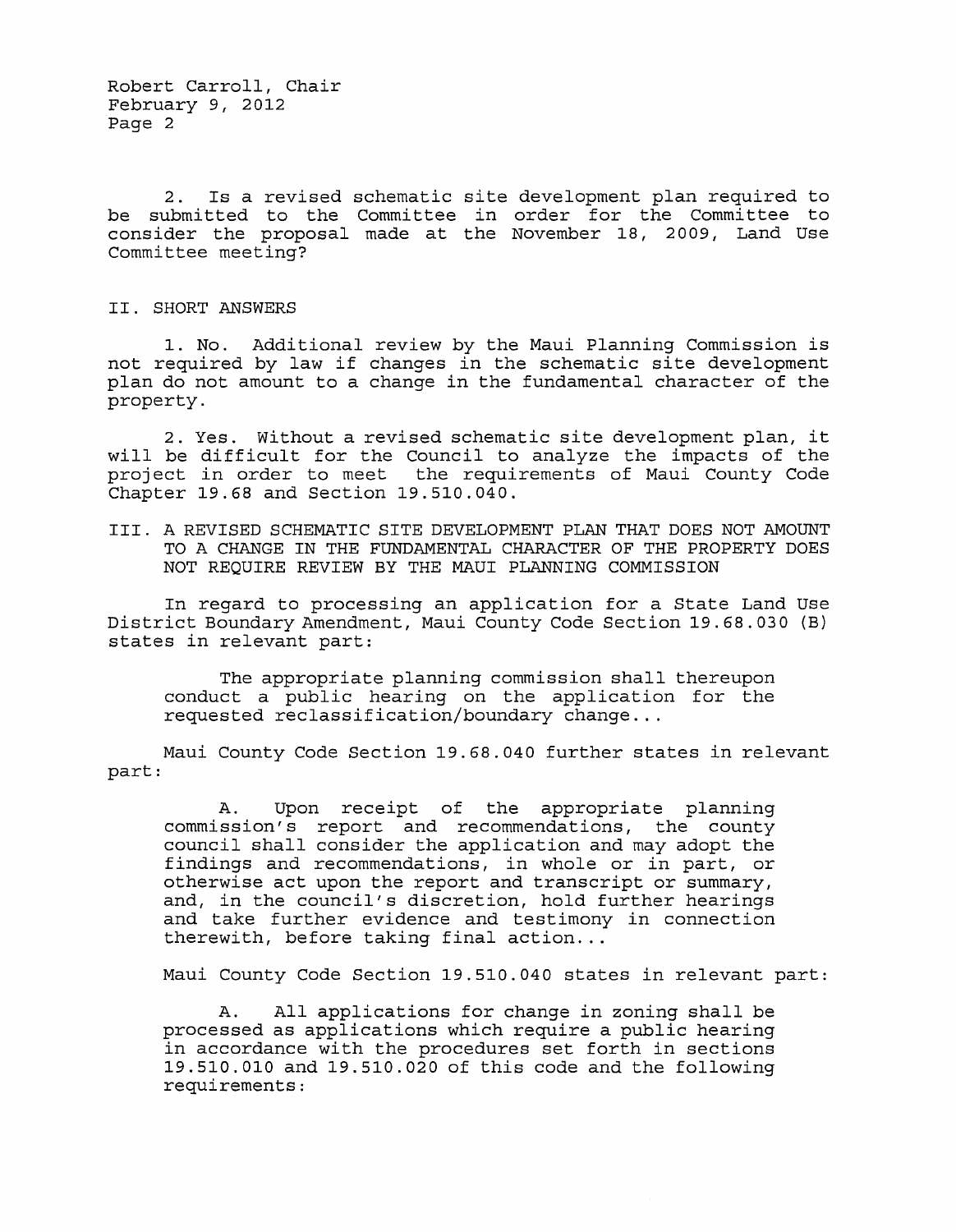Robert Carroll, Chair February 9, 2012 Page 2

2. Is a revised schematic site development plan required to be submitted to the Committee in order for the Committee to consider the proposal made at the November 18, 2009, Land Use Committee meeting?

II. SHORT ANSWERS

1. No. Additional review by the Maui Planning Commission is not required by law if changes in the schematic site development plan do not amount to a change in the fundamental character of the property.

2. Yes. Without a revised schematic site development plan, it will be difficult for the Council to analyze the impacts of the project in order to meet the requirements of Maui County Code Chapter 19.68 and Section 19.510.040.

III. A REVISED SCHEMATIC SITE DEVELOPMENT PLAN THAT DOES NOT AMOUNT TO A CHANGE IN THE FUNDAMENTAL CHARACTER OF THE PROPERTY DOES NOT REQUIRE REVIEW BY THE MAUl PLANNING COMMISSION

In regard to processing an application for a State Land Use District Boundary Amendment, Maui County Code Section 19.68.030 (B) states in relevant part:

The appropriate planning commission shall thereupon conduct a public hearing on the application for the requested reclassification/boundary change ...

Maui County Code Section 19.68.040 further states in relevant part:

A. Upon receipt of the appropriate planning commission's report and recommendations, the county council shall consider the application and may adopt the findings and recommendations, in whole or in part, or otherwise act upon the report and transcript or summary, and, in the council's discretion, hold further hearings and take further evidence and testimony in connection therewith, before taking final action...

Maui County Code Section 19.510.040 states in relevant part:

A. All applications for change in zoning shall be processed as applications which require a public hearing in accordance with the procedures set forth in sections 19.510.010 and 19.510.020 of this code and the following requirements: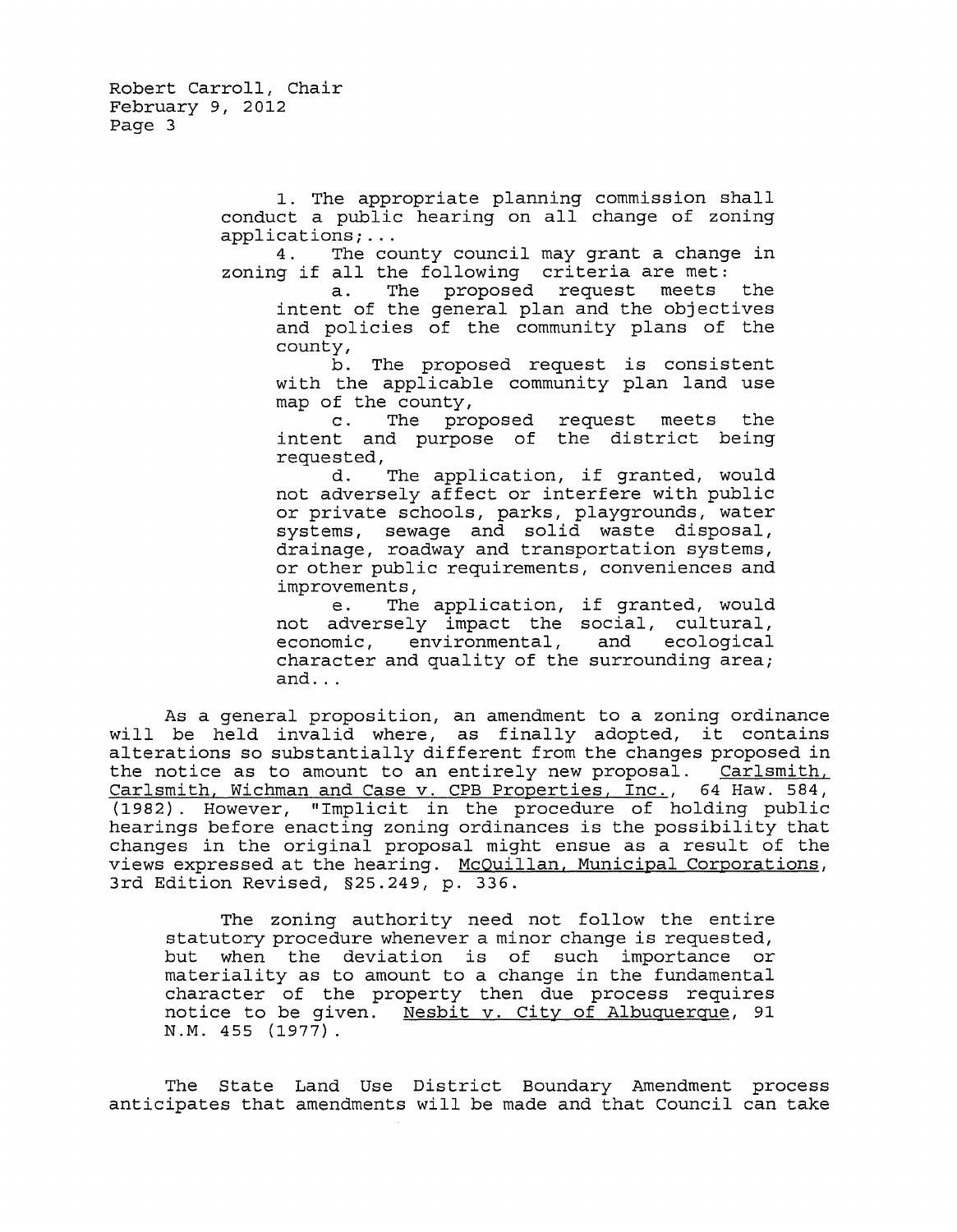1. The appropriate planning commission shall conduct a public hearing on all change of zoning<br>applications;...

4. The county council may grant a change in zoning if all the following criteria are met:

a. The proposed request meets the intent of the general plan and the objectives and policies of the community plans of the county,

b. The proposed request is consistent with the applicable community plan land use map of the county,

c. The proposed request meets the intent and purpose of the district being requested,

d. The application, if granted, would not adversely affect or interfere with public or private schools, parks, playgrounds, water systems, sewage and solid waste disposal, drainage, roadway and transportation systems, or other public requirements, conveniences and improvements,

e. The application, if granted, would not adversely impact the social, cultural, economic, environmental, and ecological character and quality of the surrounding area; and ...

As a general proposition, an amendment to a zoning ordinance will be held invalid where, as finally adopted, it contains alterations so substantially different from the changes proposed in the notice as to amount to an entirely new proposal. Carlsmith, Carlsmith, Wichman and Case v. CPB Properties, Inc., 64 Haw. 584, (1982). However, "Implicit in the procedure of holding public hearings before enacting zoning ordinances is the possibility that changes in the original proposal might ensue as a result of the views expressed at the hearing. McQuillan, Municipal Corporations, 3rd Edition Revised, §25.249, p. 336.

The zoning authority need not follow the entire statutory procedure whenever a minor change is requested,<br>but when the deviation is of such importance or when the deviation is of such importance or materiality as to amount to a change in the fundamental character of the property then due process requires notice to be given. Nesbit v. City of Albuquerque, 91 N.M. 455 (1977).

The State Land Use District Boundary Amendment process anticipates that amendments will be made and that Council can take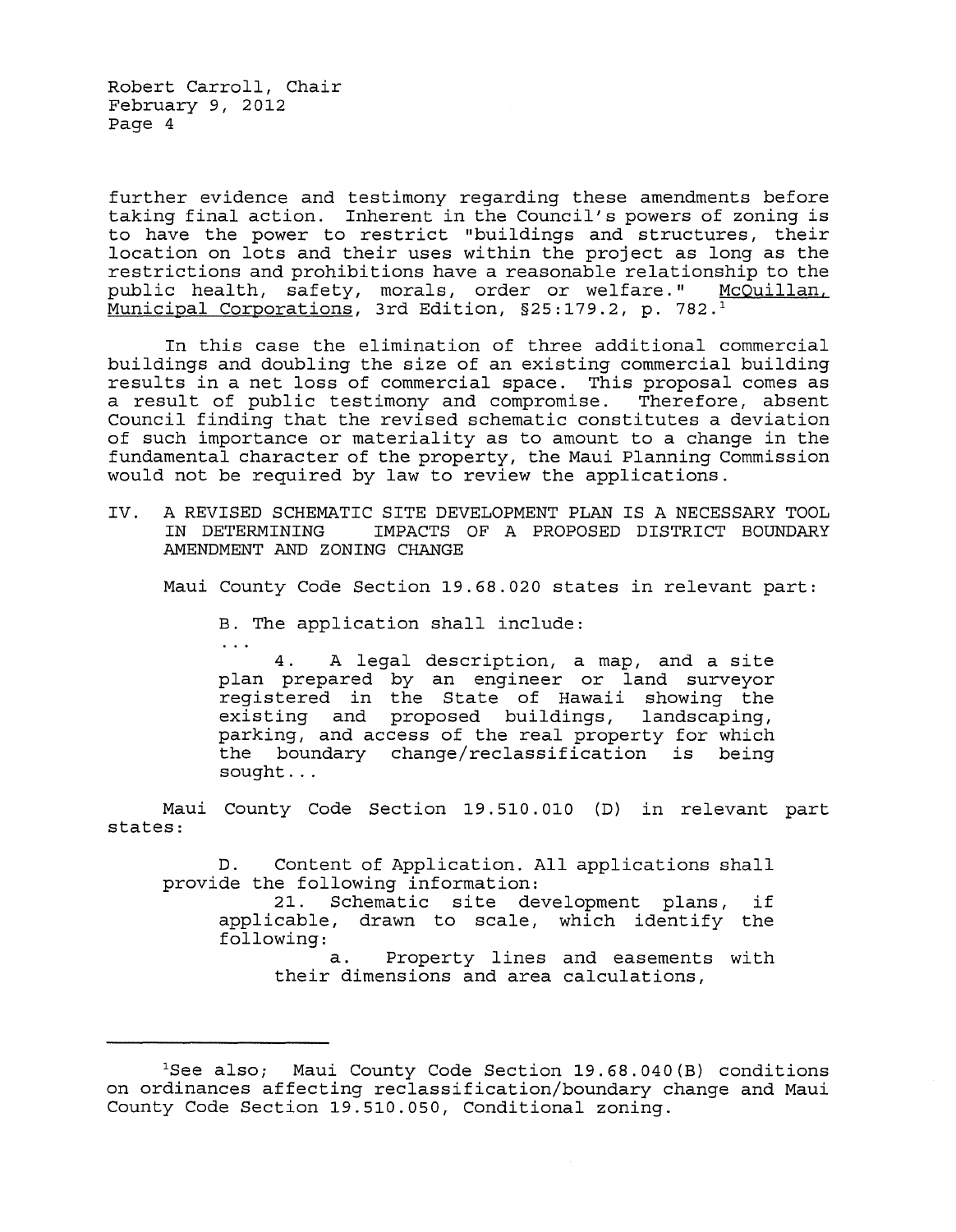Robert Carroll, Chair February 9, 2012 Page 4

 $\sim 100$ 

further evidence and testimony regarding these amendments before taking final action. Inherent in the Council's powers of zoning is to have the power to restrict "buildings and structures, their location on lots and their uses within the project as long as the restrictions and prohibitions have a reasonable relationship to the public health, safety, morals, order or welfare." McQuillan, Municipal Corporations, 3rd Edition, §25:179.2, p. 782.1

In this case the elimination of three additional commercial buildings and doubling the size of an existing commercial building results in a net loss of commercial space. This proposal comes as<br>a result of public testimony and compromise. Therefore, absent a result of public testimony and compromise. Council finding that the revised schematic constitutes a deviation of such importance or materiality as to amount to a change in the fundamental character of the property, the Maui Planning Commission would not be required by law to review the applications.

IV. A REVISED SCHEMATIC SITE DEVELOPMENT PLAN IS A NECESSARY TOOL IMPACTS OF A PROPOSED DISTRICT BOUNDARY AMENDMENT AND ZONING CHANGE

Maui County Code Section 19.68.020 states in relevant part:

B. The application shall include:

4. A legal description, a map, and a site plan prepared by an engineer or land surveyor registered in the State of Hawaii showing the existing and proposed buildings, landscaping, parking, and access of the real property for which the boundary change/reclassification is being sought ...

Maui County Code Section 19.510.010 (D) in relevant part states:

D. Content of Application. All applications shall provide the following information:

21. Schematic site development plans, if applicable, drawn to scale, which identify the following:

a. Property lines and easements with their dimensions and area calculations,

<sup>1</sup>See also; Maui County Code Section 19.68.040(B) conditions on ordinances affecting reclassification/boundary change and Maui County Code Section 19.510.050, Conditional zoning.